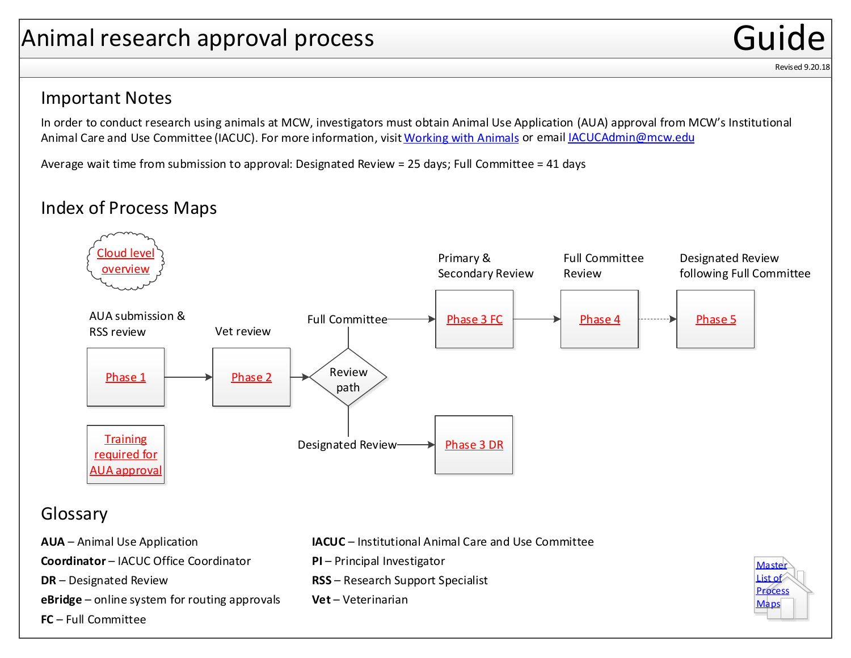Revised 9.20.18

**Master** List of [Process](https://www.mcw.edu/-/media/MCW/Departments/Research-Resources/master_researchapprovals.pdf)  Maps

### <span id="page-0-0"></span>Important Notes

In order to conduct research using animals at MCW, investigators must obtain Animal Use Application (AUA) approval from MCW's Institutional Animal Care and Use Committee (IACUC). For more information, visit [Working with Animals](https://www.mcw.edu/departments/research-resources/onboarding/FAQs/Working-with-Animals) [or email IACUCAdmin@mcw.edu](mailto:IACUCAdmin@mcw.edu)

Average wait time from submission to approval: Designated Review = 25 days; Full Committee = 41 days

### Index of Process Maps



### Glossary

**Coordinator** – IACUC Office Coordinator **FC** – Full Committee **DR** – Designated Review **AUA** – Animal Use Application **eBridge** – online system for routing approvals

- **IACUC**  Institutional Animal Care and Use Committee
- **PI**  Principal Investigator
- **RSS**  Research Support Specialist
- **Vet**  Veterinarian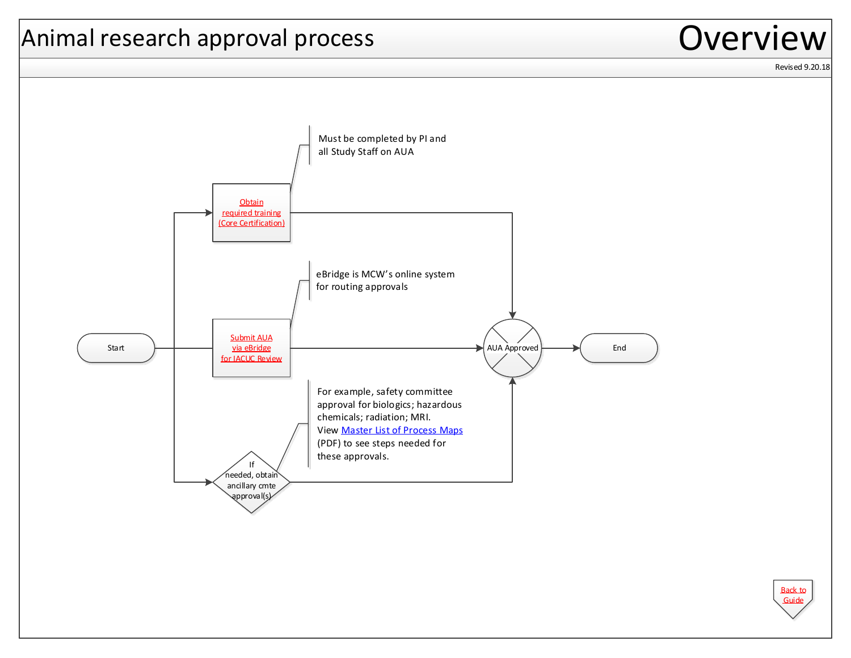# **Overview**

Revised 9.20.18

[Back to](#page-0-0) Guide

<span id="page-1-0"></span>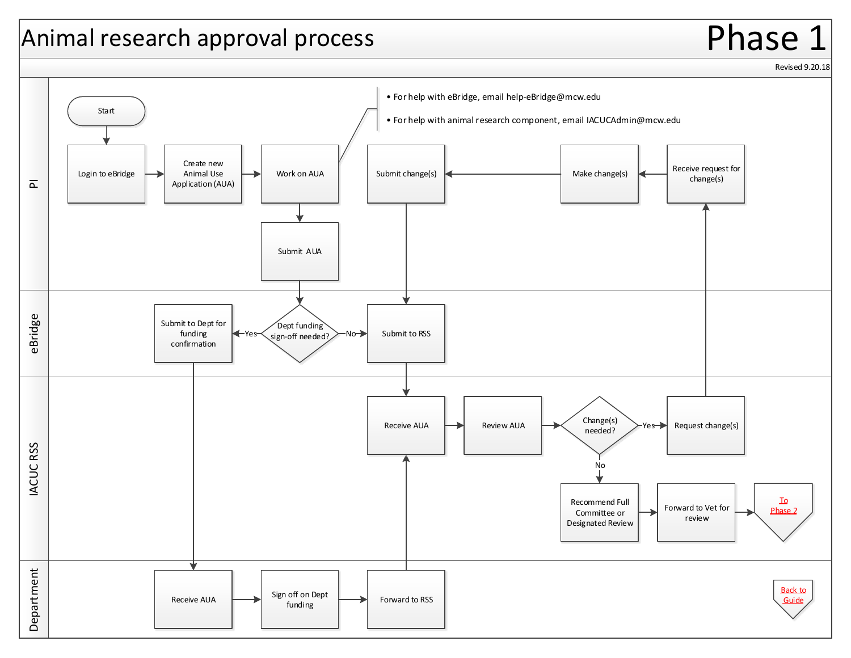## <span id="page-2-0"></span>Animal research approval process  $\blacksquare$

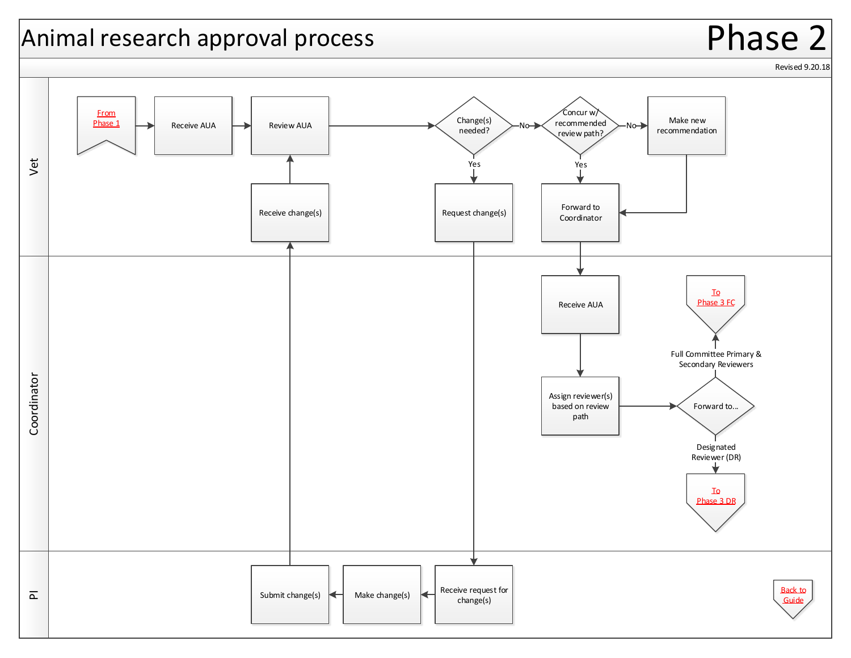## <span id="page-3-0"></span>Animal research approval process  $\blacksquare$

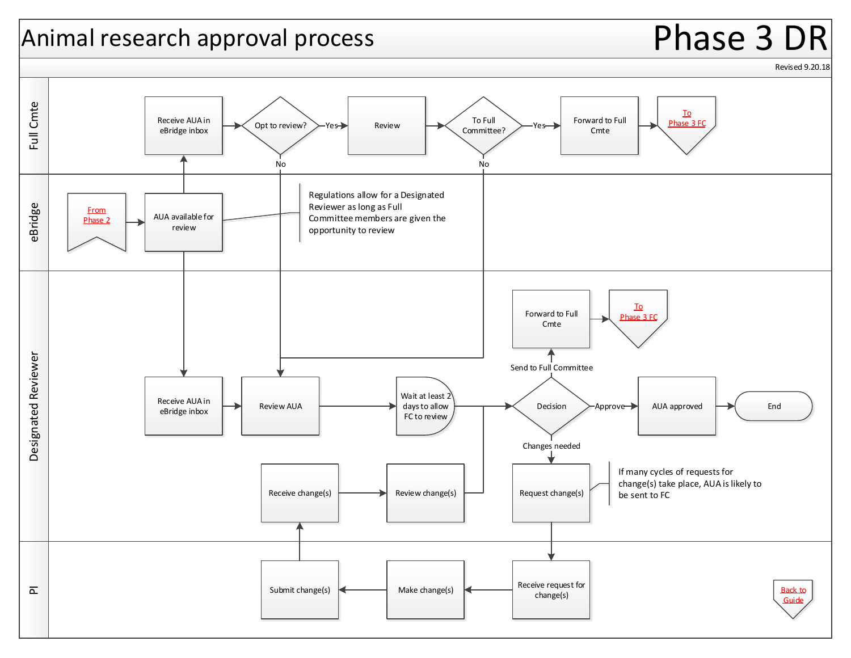## <span id="page-4-0"></span>Animal research approval process  $\blacksquare$  Phase 3 DR

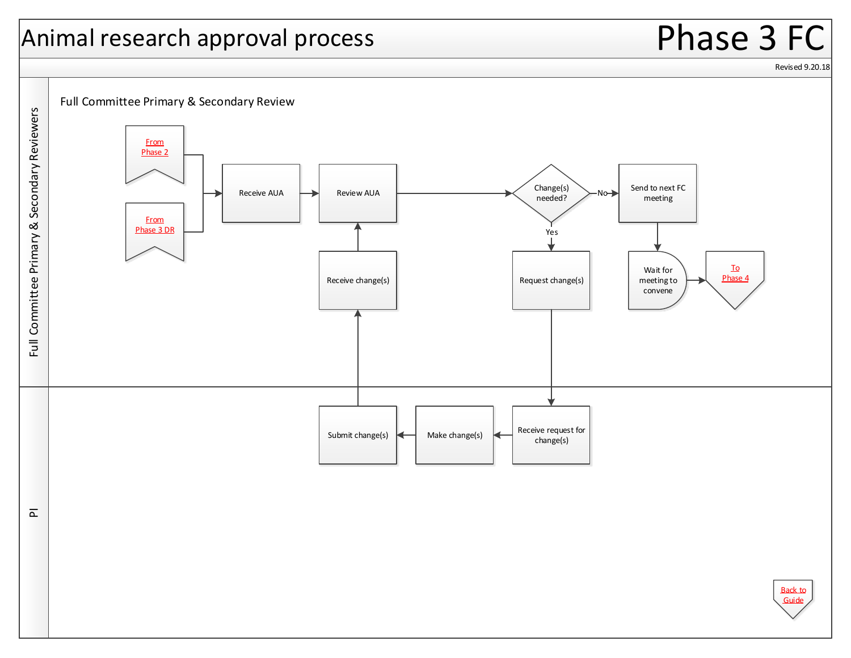# Phase 3 FC

<span id="page-5-0"></span>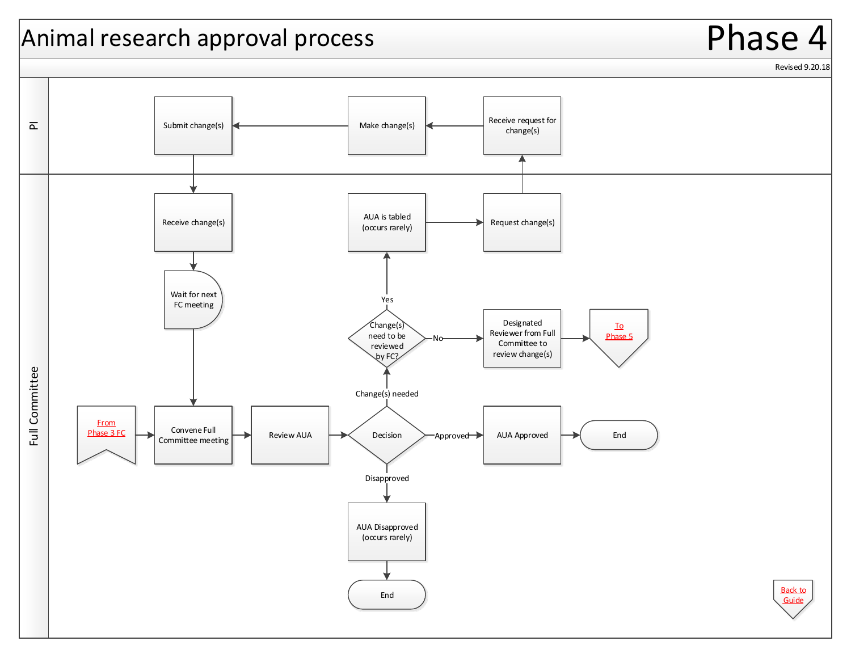

<span id="page-6-0"></span>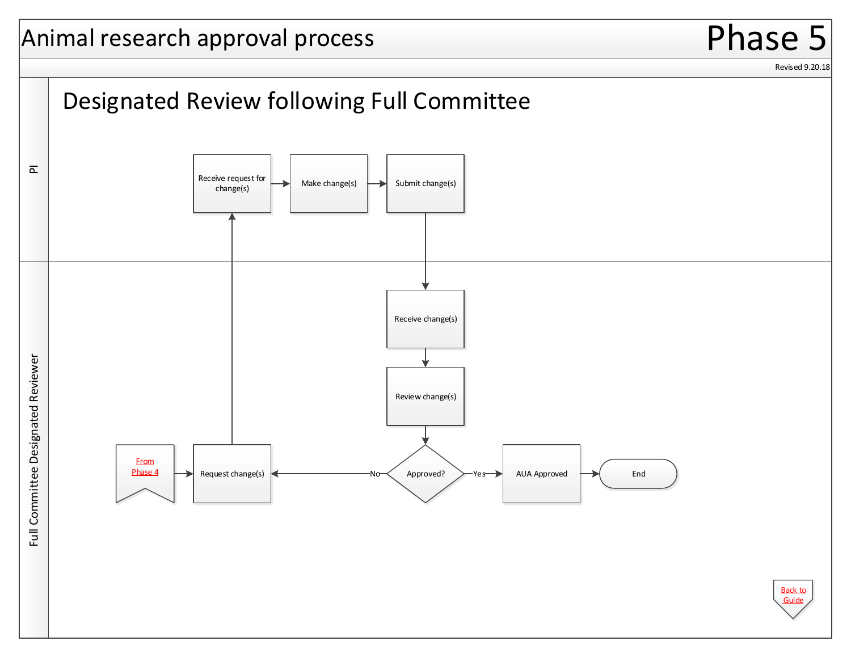Revised 9.20.18

Phase 5

<span id="page-7-0"></span>